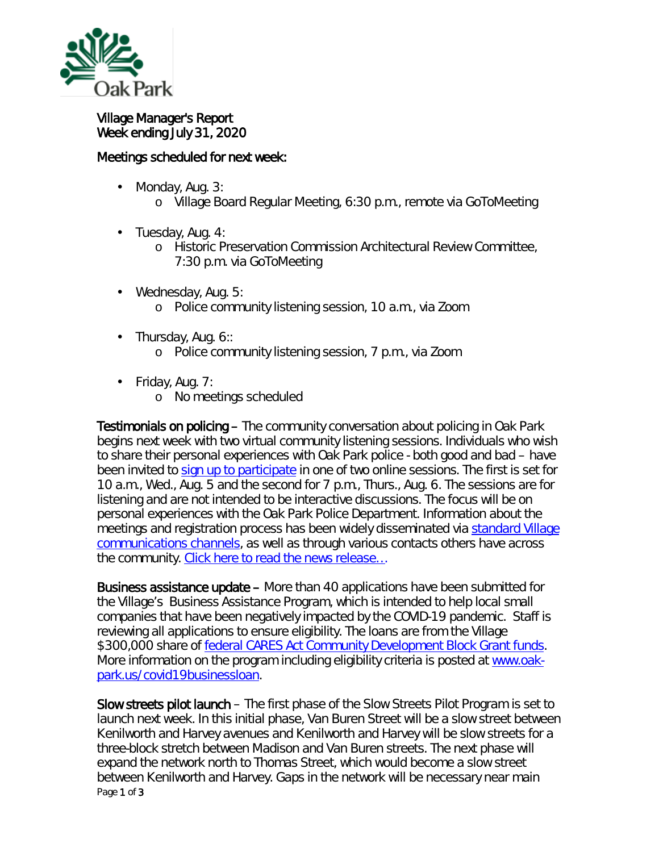

## Village Manager's Report Week ending July 31, 2020

## Meetings scheduled for next week:

- Monday, Aug. 3: ä,
	- o Village Board Regular Meeting, 6:30 p.m., remote via GoToMeeting
- ä, Tuesday, Aug. 4:
	- o Historic Preservation Commission Architectural Review Committee, 7:30 p.m. via GoToMeeting
- Wednesday, Aug. 5:  $\mathbf{r}$ 
	- o Police community listening session, 10 a.m., via Zoom
- $\mathbf{r}$ Thursday, Aug. 6::
	- o Police community listening session, 7 p.m., via Zoom
- Friday, Aug. 7:
	- o No meetings scheduled

Testimonials on policing – The community conversation about policing in Oak Park begins next week with two virtual community listening sessions. Individuals who wish to share their personal experiences with Oak Park police - both good and bad – have been invited to [sign up to participate](https://www.oak-park.us/your-government/village-board/police-listening-sessions) in one of two online sessions. The first is set for 10 a.m., Wed., Aug. 5 and the second for 7 p.m., Thurs., Aug. 6. The sessions are for listening and are not intended to be interactive discussions. The focus will be on personal experiences with the Oak Park Police Department. Information about the meetings and registration process has been widely disseminated via [standard Village](https://www.oak-park.us/newsletters/february-2017/stay-connected-village-hall)  [communications channels,](https://www.oak-park.us/newsletters/february-2017/stay-connected-village-hall) as well as through various contacts others have across the community. [Click here to read the news release…](https://www.oak-park.us/news/village-seeks-input-residents-examination-policing-oak-park-begins)

Business assistance update – More than 40 applications have been submitted for the Village's Business Assistance Program, which is intended to help local small companies that have been negatively impacted by the COVID-19 pandemic. Staff is reviewing all applications to ensure eligibility. The loans are from the Village \$300,000 share of [federal CARES Act Community Development Block Grant funds.](https://crsreports.congress.gov/product/pdf/IN/IN11315) More information on the program including eligibility criteria is posted at [www.oak](http://www.oak-park.us/covid19businessloan)[park.us/covid19businessloan.](http://www.oak-park.us/covid19businessloan)

Page 1 of 3 Slow streets pilot launch – The first phase of the *Slow Streets Pilot Program* is set to launch next week. In this initial phase, Van Buren Street will be a slow street between Kenilworth and Harvey avenues and Kenilworth and Harvey will be slow streets for a three-block stretch between Madison and Van Buren streets. The next phase will expand the network north to Thomas Street, which would become a slow street between Kenilworth and Harvey. Gaps in the network will be necessary near main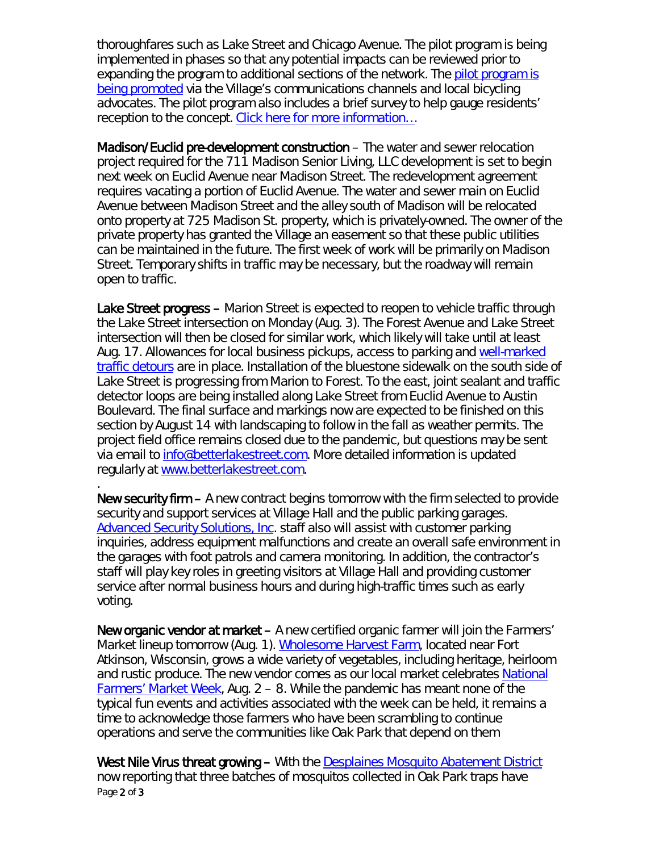thoroughfares such as Lake Street and Chicago Avenue. The pilot program is being implemented in phases so that any potential impacts can be reviewed prior to expanding the program to additional sections of the network. The pilot program is [being promoted](https://www.oak-park.us/news/slow-streets-program-aims-provide-safe-corridors-pedestrians) via the Village's communications channels and local bicycling advocates. The pilot program also includes a brief survey to help gauge residents' reception to the concept. Click here for more information...

Madison/Euclid pre-development construction – The water and sewer relocation project required for the 711 Madison Senior Living, LLC development is set to begin next week on Euclid Avenue near Madison Street. The redevelopment agreement requires vacating a portion of Euclid Avenue. The water and sewer main on Euclid Avenue between Madison Street and the alley south of Madison will be relocated onto property at 725 Madison St. property, which is privately-owned. The owner of the private property has granted the Village an easement so that these public utilities can be maintained in the future. The first week of work will be primarily on Madison Street. Temporary shifts in traffic may be necessary, but the roadway will remain open to traffic.

Lake Street progress – Marion Street is expected to reopen to vehicle traffic through the Lake Street intersection on Monday (Aug. 3). The Forest Avenue and Lake Street intersection will then be closed for similar work, which likely will take until at least Aug. 17. Allowances for local business pickups, access to parking and well-marked [traffic detours](https://www.oak-park.us/sites/default/files/456678891/2020-07-31-detour-map_lake-forest.pdf) are in place. Installation of the bluestone sidewalk on the south side of Lake Street is progressing from Marion to Forest. To the east, joint sealant and traffic detector loops are being installed along Lake Street from Euclid Avenue to Austin Boulevard. The final surface and markings now are expected to be finished on this section by August 14 with landscaping to follow in the fall as weather permits. The project field office remains closed due to the pandemic, but questions may be sent via email to info@betterlakestreet.com. More detailed information is updated regularly at [www.betterlakestreet.com.](http://www.betterlakestreet.com/)

New security firm – A new contract begins tomorrow with the firm selected to provide security and support services at Village Hall and the public parking garages. [Advanced Security Solutions, Inc.](https://www.advancedguards.com/) staff also will assist with customer parking inquiries, address equipment malfunctions and create an overall safe environment in the garages with foot patrols and camera monitoring. In addition, the contractor's staff will play key roles in greeting visitors at Village Hall and providing customer service after normal business hours and during high-traffic times such as early voting.

.

New organic vendor at market – A new certified organic farmer will join the Farmers' Market lineup tomorrow (Aug. 1). [Wholesome Harvest Farm,](https://www.wholesomeharvestcsa.com/) located near Fort Atkinson, Wisconsin, grows a wide variety of vegetables, including heritage, heirloom and rustic produce. The new vendor comes as our local market celebrates National [Farmers' Market Week,](https://farmersmarketcoalition.org/national-farmers-market-week/) Aug. 2 – 8. While the pandemic has meant none of the typical fun events and activities associated with the week can be held, it remains a time to acknowledge those farmers who have been scrambling to continue operations and serve the communities like Oak Park that depend on them

Page 2 of 3 West Nile Virus threat growing – With the [Desplaines Mosquito Abatement District](https://www.desplainesvalleymad.com/) now reporting that three batches of mosquitos collected in Oak Park traps have